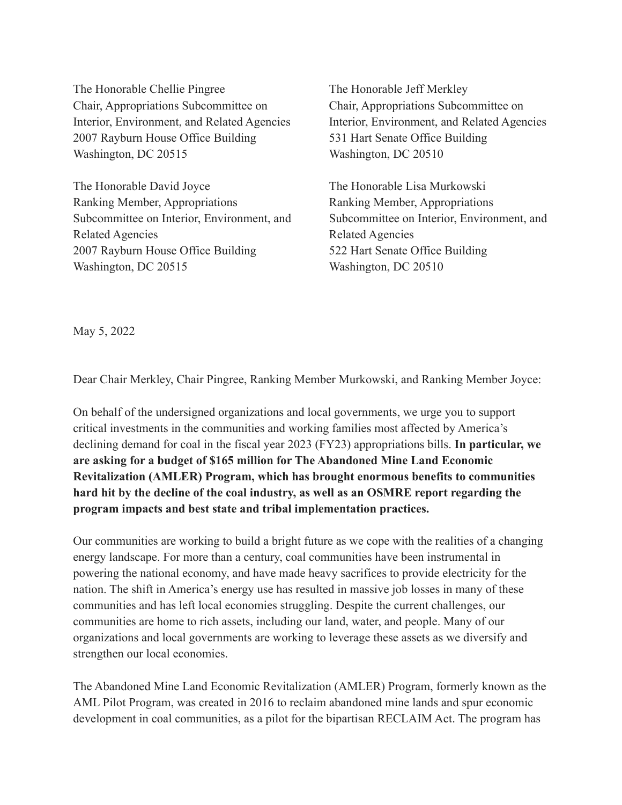The Honorable Chellie Pingree Chair, Appropriations Subcommittee on Interior, Environment, and Related Agencies 2007 Rayburn House Office Building Washington, DC 20515

The Honorable David Joyce Ranking Member, Appropriations Subcommittee on Interior, Environment, and Related Agencies 2007 Rayburn House Office Building Washington, DC 20515

The Honorable Jeff Merkley Chair, Appropriations Subcommittee on Interior, Environment, and Related Agencies 531 Hart Senate Office Building Washington, DC 20510

The Honorable Lisa Murkowski Ranking Member, Appropriations Subcommittee on Interior, Environment, and Related Agencies 522 Hart Senate Office Building Washington, DC 20510

May 5, 2022

Dear Chair Merkley, Chair Pingree, Ranking Member Murkowski, and Ranking Member Joyce:

On behalf of the undersigned organizations and local governments, we urge you to support critical investments in the communities and working families most affected by America's declining demand for coal in the fiscal year 2023 (FY23) appropriations bills. **In particular, we are asking for a budget of \$165 million for The Abandoned Mine Land Economic Revitalization (AMLER) Program, which has brought enormous benefits to communities hard hit by the decline of the coal industry, as well as an OSMRE report regarding the program impacts and best state and tribal implementation practices.**

Our communities are working to build a bright future as we cope with the realities of a changing energy landscape. For more than a century, coal communities have been instrumental in powering the national economy, and have made heavy sacrifices to provide electricity for the nation. The shift in America's energy use has resulted in massive job losses in many of these communities and has left local economies struggling. Despite the current challenges, our communities are home to rich assets, including our land, water, and people. Many of our organizations and local governments are working to leverage these assets as we diversify and strengthen our local economies.

The Abandoned Mine Land Economic Revitalization (AMLER) Program, formerly known as the AML Pilot Program, was created in 2016 to reclaim abandoned mine lands and spur economic development in coal communities, as a pilot for the bipartisan RECLAIM Act. The program has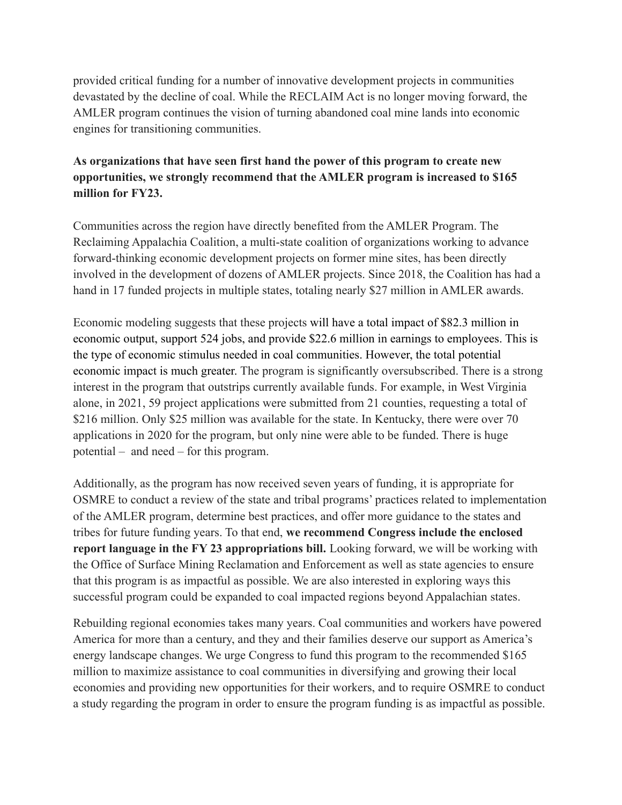provided critical funding for a number of innovative development projects in communities devastated by the decline of coal. While the RECLAIM Act is no longer moving forward, the AMLER program continues the vision of turning abandoned coal mine lands into economic engines for transitioning communities.

## **As organizations that have seen first hand the power of this program to create new opportunities, we strongly recommend that the AMLER program is increased to \$165 million for FY23.**

Communities across the region have directly benefited from the AMLER Program. The Reclaiming Appalachia Coalition, a multi-state coalition of organizations working to advance forward-thinking economic development projects on former mine sites, has been directly involved in the development of dozens of AMLER projects. Since 2018, the Coalition has had a hand in 17 funded projects in multiple states, totaling nearly \$27 million in AMLER awards.

Economic modeling suggests that these projects will have a total impact of \$82.3 million in economic output, support 524 jobs, and provide \$22.6 million in earnings to employees. This is the type of economic stimulus needed in coal communities. However, the total potential economic impact is much greater. The program is significantly oversubscribed. There is a strong interest in the program that outstrips currently available funds. For example, in West Virginia alone, in 2021, 59 project applications were submitted from 21 counties, requesting a total of \$216 million. Only \$25 million was available for the state. In Kentucky, there were over 70 applications in 2020 for the program, but only nine were able to be funded. There is huge potential – and need – for this program.

Additionally, as the program has now received seven years of funding, it is appropriate for OSMRE to conduct a review of the state and tribal programs' practices related to implementation of the AMLER program, determine best practices, and offer more guidance to the states and tribes for future funding years. To that end, **we recommend Congress include the enclosed report language in the FY 23 appropriations bill.** Looking forward, we will be working with the Office of Surface Mining Reclamation and Enforcement as well as state agencies to ensure that this program is as impactful as possible. We are also interested in exploring ways this successful program could be expanded to coal impacted regions beyond Appalachian states.

Rebuilding regional economies takes many years. Coal communities and workers have powered America for more than a century, and they and their families deserve our support as America's energy landscape changes. We urge Congress to fund this program to the recommended \$165 million to maximize assistance to coal communities in diversifying and growing their local economies and providing new opportunities for their workers, and to require OSMRE to conduct a study regarding the program in order to ensure the program funding is as impactful as possible.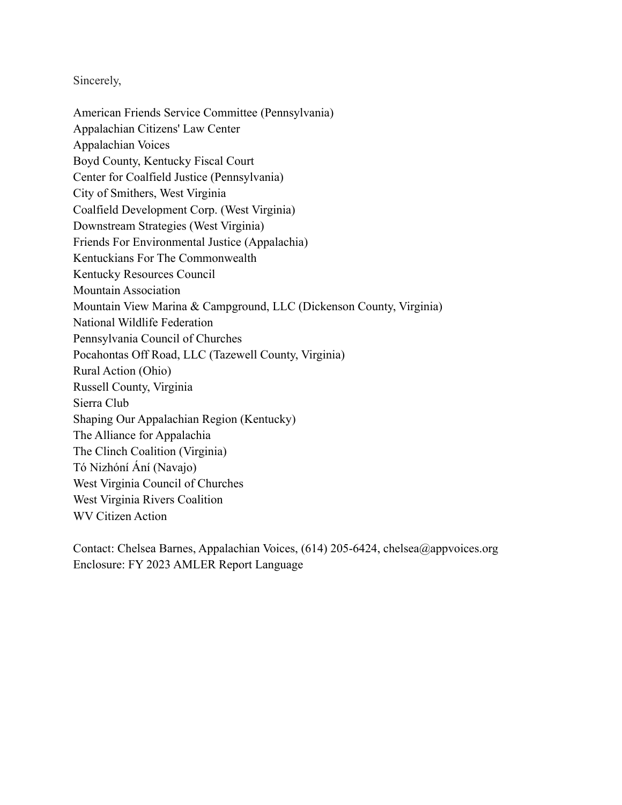Sincerely,

American Friends Service Committee (Pennsylvania) Appalachian Citizens' Law Center Appalachian Voices Boyd County, Kentucky Fiscal Court Center for Coalfield Justice (Pennsylvania) City of Smithers, West Virginia Coalfield Development Corp. (West Virginia) Downstream Strategies (West Virginia) Friends For Environmental Justice (Appalachia) Kentuckians For The Commonwealth Kentucky Resources Council Mountain Association Mountain View Marina & Campground, LLC (Dickenson County, Virginia) National Wildlife Federation Pennsylvania Council of Churches Pocahontas Off Road, LLC (Tazewell County, Virginia) Rural Action (Ohio) Russell County, Virginia Sierra Club Shaping Our Appalachian Region (Kentucky) The Alliance for Appalachia The Clinch Coalition (Virginia) Tó Nizhóní Ání (Navajo) West Virginia Council of Churches West Virginia Rivers Coalition WV Citizen Action

Contact: Chelsea Barnes, Appalachian Voices, (614) 205-6424, chelsea@appvoices.org Enclosure: FY 2023 AMLER Report Language